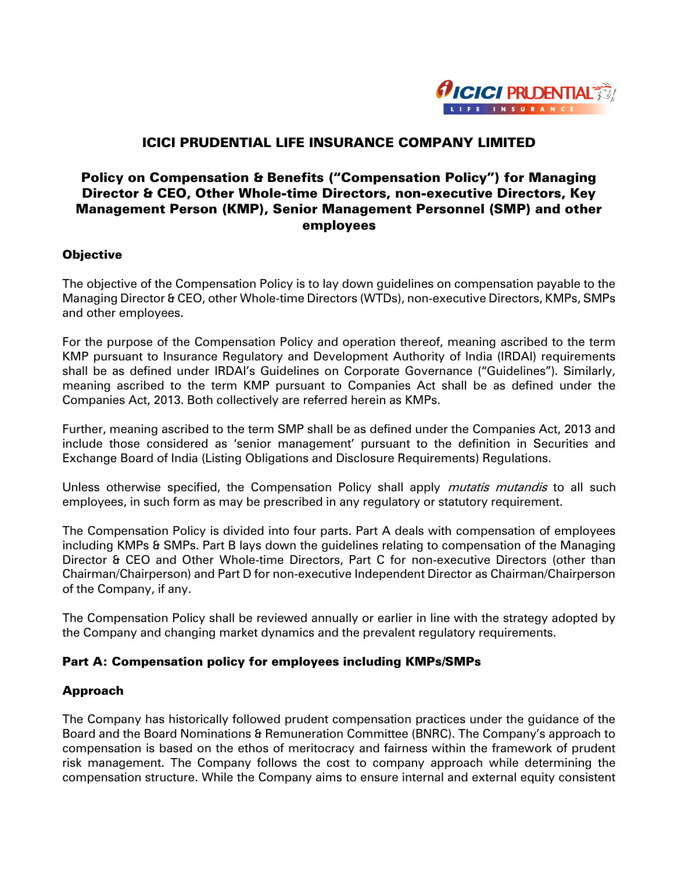

# ICICI PRUDENTIAL LIFE INSURANCE COMPANY LIMITED

# Policy on Compensation & Benefits ("Compensation Policy") for Managing Director & CEO, Other Whole-time Directors, non-executive Directors, Key Management Person (KMP), Senior Management Personnel (SMP) and other employees

#### **Objective**

The objective of the Compensation Policy is to lay down guidelines on compensation payable to the Managing Director & CEO, other Whole-time Directors (WTDs), non-executive Directors, KMPs, SMPs and other employees.

For the purpose of the Compensation Policy and operation thereof, meaning ascribed to the term KMP pursuant to Insurance Regulatory and Development Authority of India (IRDAI) requirements shall be as defined under IRDAI's Guidelines on Corporate Governance ("Guidelines"). Similarly, meaning ascribed to the term KMP pursuant to Companies Act shall be as defined under the Companies Act, 2013. Both collectively are referred herein as KMPs.

Further, meaning ascribed to the term SMP shall be as defined under the Companies Act, 2013 and include those considered as 'senior management' pursuant to the definition in Securities and Exchange Board of India (Listing Obligations and Disclosure Requirements) Regulations.

Unless otherwise specified, the Compensation Policy shall apply *mutatis mutandis* to all such employees, in such form as may be prescribed in any regulatory or statutory requirement.

The Compensation Policy is divided into four parts. Part A deals with compensation of employees including KMPs & SMPs. Part B lays down the guidelines relating to compensation of the Managing Director & CEO and Other Whole-time Directors, Part C for non-executive Directors (other than Chairman/Chairperson) and Part D for non-executive Independent Director as Chairman/Chairperson of the Company, if any.

The Compensation Policy shall be reviewed annually or earlier in line with the strategy adopted by the Company and changing market dynamics and the prevalent regulatory requirements.

### Part A: Compensation policy for employees including KMPs/SMPs

### Approach

The Company has historically followed prudent compensation practices under the guidance of the Board and the Board Nominations & Remuneration Committee (BNRC). The Company's approach to compensation is based on the ethos of meritocracy and fairness within the framework of prudent risk management. The Company follows the cost to company approach while determining the compensation structure. While the Company aims to ensure internal and external equity consistent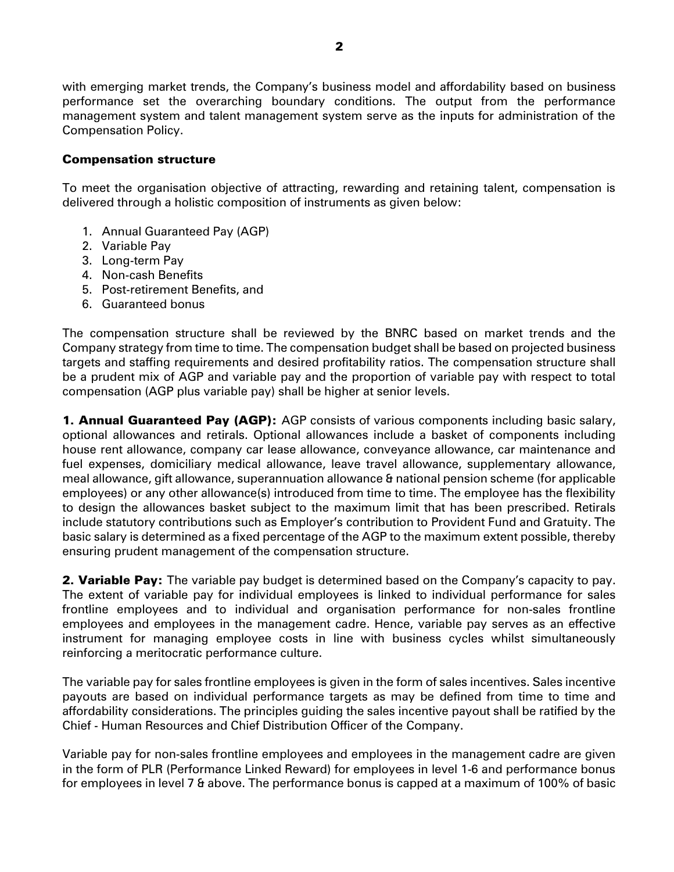with emerging market trends, the Company's business model and affordability based on business performance set the overarching boundary conditions. The output from the performance management system and talent management system serve as the inputs for administration of the Compensation Policy.

### Compensation structure

To meet the organisation objective of attracting, rewarding and retaining talent, compensation is delivered through a holistic composition of instruments as given below:

- 1. Annual Guaranteed Pay (AGP)
- 2. Variable Pay
- 3. Long-term Pay
- 4. Non-cash Benefits
- 5. Post-retirement Benefits, and
- 6. Guaranteed bonus

The compensation structure shall be reviewed by the BNRC based on market trends and the Company strategy from time to time. The compensation budget shall be based on projected business targets and staffing requirements and desired profitability ratios. The compensation structure shall be a prudent mix of AGP and variable pay and the proportion of variable pay with respect to total compensation (AGP plus variable pay) shall be higher at senior levels.

**1. Annual Guaranteed Pay (AGP):** AGP consists of various components including basic salary, optional allowances and retirals. Optional allowances include a basket of components including house rent allowance, company car lease allowance, conveyance allowance, car maintenance and fuel expenses, domiciliary medical allowance, leave travel allowance, supplementary allowance, meal allowance, gift allowance, superannuation allowance & national pension scheme (for applicable employees) or any other allowance(s) introduced from time to time. The employee has the flexibility to design the allowances basket subject to the maximum limit that has been prescribed. Retirals include statutory contributions such as Employer's contribution to Provident Fund and Gratuity. The basic salary is determined as a fixed percentage of the AGP to the maximum extent possible, thereby ensuring prudent management of the compensation structure.

**2. Variable Pay:** The variable pay budget is determined based on the Company's capacity to pay. The extent of variable pay for individual employees is linked to individual performance for sales frontline employees and to individual and organisation performance for non-sales frontline employees and employees in the management cadre. Hence, variable pay serves as an effective instrument for managing employee costs in line with business cycles whilst simultaneously reinforcing a meritocratic performance culture.

The variable pay for sales frontline employees is given in the form of sales incentives. Sales incentive payouts are based on individual performance targets as may be defined from time to time and affordability considerations. The principles guiding the sales incentive payout shall be ratified by the Chief - Human Resources and Chief Distribution Officer of the Company.

Variable pay for non-sales frontline employees and employees in the management cadre are given in the form of PLR (Performance Linked Reward) for employees in level 1-6 and performance bonus for employees in level 7 & above. The performance bonus is capped at a maximum of 100% of basic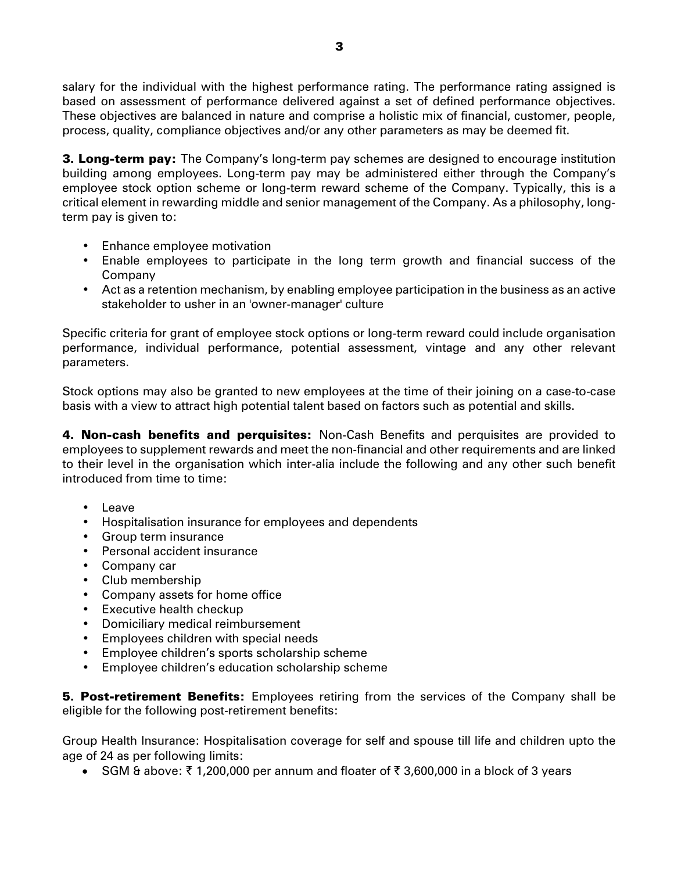salary for the individual with the highest performance rating. The performance rating assigned is based on assessment of performance delivered against a set of defined performance objectives. These objectives are balanced in nature and comprise a holistic mix of financial, customer, people, process, quality, compliance objectives and/or any other parameters as may be deemed fit.

**3. Long-term pay:** The Company's long-term pay schemes are designed to encourage institution building among employees. Long-term pay may be administered either through the Company's employee stock option scheme or long-term reward scheme of the Company. Typically, this is a critical element in rewarding middle and senior management of the Company. As a philosophy, longterm pay is given to:

- Enhance employee motivation
- Enable employees to participate in the long term growth and financial success of the Company
- Act as a retention mechanism, by enabling employee participation in the business as an active stakeholder to usher in an 'owner-manager' culture

Specific criteria for grant of employee stock options or long-term reward could include organisation performance, individual performance, potential assessment, vintage and any other relevant parameters.

Stock options may also be granted to new employees at the time of their joining on a case-to-case basis with a view to attract high potential talent based on factors such as potential and skills.

4. Non-cash benefits and perquisites: Non-Cash Benefits and perquisites are provided to employees to supplement rewards and meet the non-financial and other requirements and are linked to their level in the organisation which inter-alia include the following and any other such benefit introduced from time to time:

- Leave
- Hospitalisation insurance for employees and dependents
- Group term insurance
- Personal accident insurance
- Company car
- Club membership
- Company assets for home office
- Executive health checkup
- Domiciliary medical reimbursement
- Employees children with special needs
- Employee children's sports scholarship scheme
- Employee children's education scholarship scheme

**5. Post-retirement Benefits:** Employees retiring from the services of the Company shall be eligible for the following post-retirement benefits:

Group Health Insurance: Hospitalisation coverage for self and spouse till life and children upto the age of 24 as per following limits:

SGM & above:  $\bar{\tau}$  1,200,000 per annum and floater of  $\bar{\tau}$  3,600,000 in a block of 3 years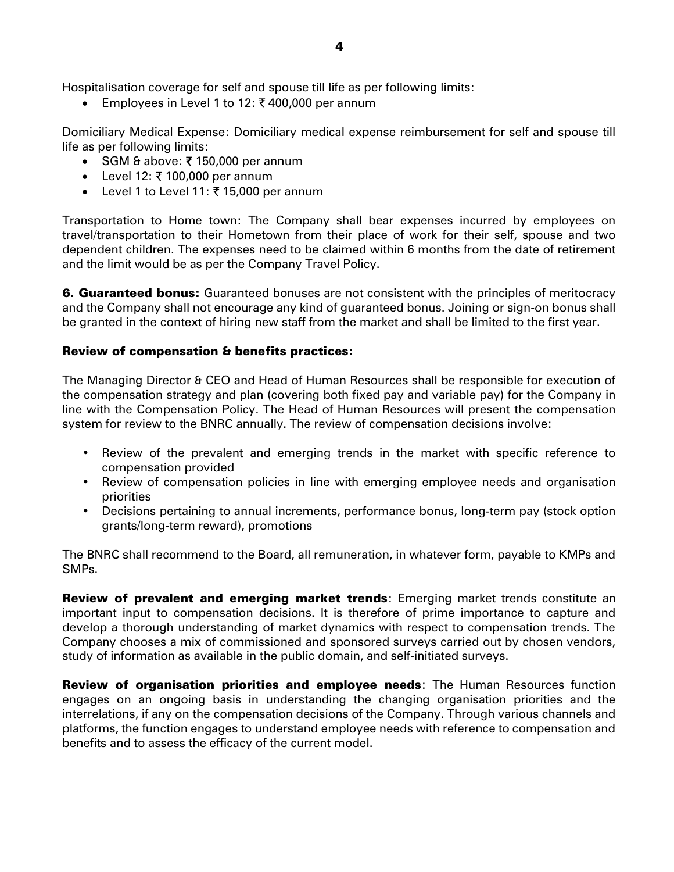Hospitalisation coverage for self and spouse till life as per following limits:

Employees in Level 1 to 12:  $\bar{\tau}$  400,000 per annum

Domiciliary Medical Expense: Domiciliary medical expense reimbursement for self and spouse till life as per following limits:

- SGM & above:  $\bar{\tau}$  150,000 per annum
- Level 12:  $\bar{x}$  100,000 per annum
- Level 1 to Level 11:  $\bar{\tau}$  15,000 per annum

Transportation to Home town: The Company shall bear expenses incurred by employees on travel/transportation to their Hometown from their place of work for their self, spouse and two dependent children. The expenses need to be claimed within 6 months from the date of retirement and the limit would be as per the Company Travel Policy.

**6. Guaranteed bonus:** Guaranteed bonuses are not consistent with the principles of meritocracy and the Company shall not encourage any kind of guaranteed bonus. Joining or sign-on bonus shall be granted in the context of hiring new staff from the market and shall be limited to the first year.

### Review of compensation & benefits practices:

The Managing Director & CEO and Head of Human Resources shall be responsible for execution of the compensation strategy and plan (covering both fixed pay and variable pay) for the Company in line with the Compensation Policy. The Head of Human Resources will present the compensation system for review to the BNRC annually. The review of compensation decisions involve:

- Review of the prevalent and emerging trends in the market with specific reference to compensation provided
- Review of compensation policies in line with emerging employee needs and organisation priorities
- Decisions pertaining to annual increments, performance bonus, long-term pay (stock option grants/long-term reward), promotions

The BNRC shall recommend to the Board, all remuneration, in whatever form, payable to KMPs and SMPs.

**Review of prevalent and emerging market trends:** Emerging market trends constitute an important input to compensation decisions. It is therefore of prime importance to capture and develop a thorough understanding of market dynamics with respect to compensation trends. The Company chooses a mix of commissioned and sponsored surveys carried out by chosen vendors, study of information as available in the public domain, and self-initiated surveys.

**Review of organisation priorities and employee needs:** The Human Resources function engages on an ongoing basis in understanding the changing organisation priorities and the interrelations, if any on the compensation decisions of the Company. Through various channels and platforms, the function engages to understand employee needs with reference to compensation and benefits and to assess the efficacy of the current model.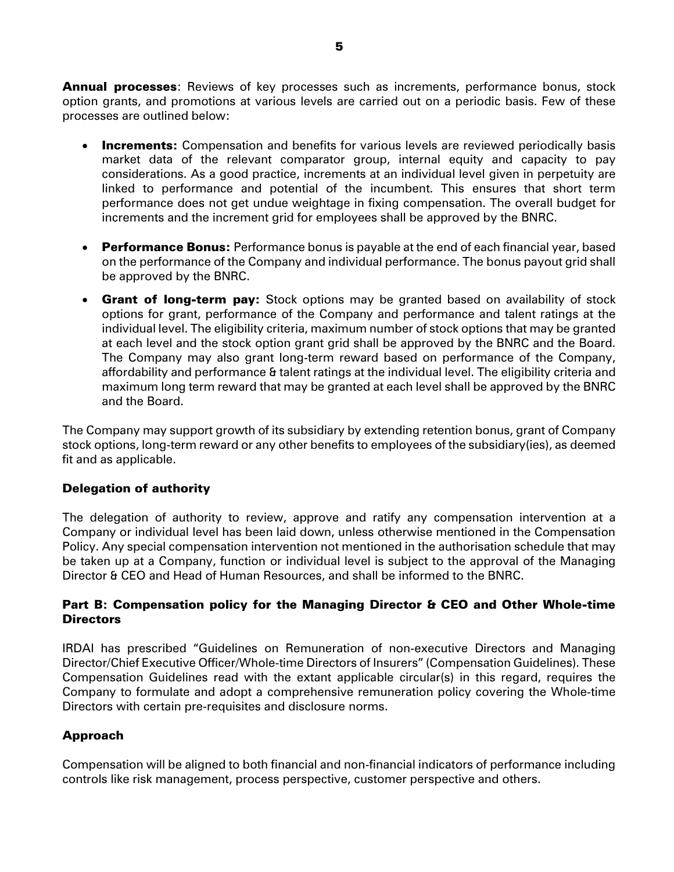**Annual processes**: Reviews of key processes such as increments, performance bonus, stock option grants, and promotions at various levels are carried out on a periodic basis. Few of these processes are outlined below:

- Increments: Compensation and benefits for various levels are reviewed periodically basis market data of the relevant comparator group, internal equity and capacity to pay considerations. As a good practice, increments at an individual level given in perpetuity are linked to performance and potential of the incumbent. This ensures that short term performance does not get undue weightage in fixing compensation. The overall budget for increments and the increment grid for employees shall be approved by the BNRC.
- **Performance Bonus:** Performance bonus is payable at the end of each financial year, based on the performance of the Company and individual performance. The bonus payout grid shall be approved by the BNRC.
- **Grant of long-term pay:** Stock options may be granted based on availability of stock options for grant, performance of the Company and performance and talent ratings at the individual level. The eligibility criteria, maximum number of stock options that may be granted at each level and the stock option grant grid shall be approved by the BNRC and the Board. The Company may also grant long-term reward based on performance of the Company, affordability and performance & talent ratings at the individual level. The eligibility criteria and maximum long term reward that may be granted at each level shall be approved by the BNRC and the Board.

The Company may support growth of its subsidiary by extending retention bonus, grant of Company stock options, long-term reward or any other benefits to employees of the subsidiary(ies), as deemed fit and as applicable.

### Delegation of authority

The delegation of authority to review, approve and ratify any compensation intervention at a Company or individual level has been laid down, unless otherwise mentioned in the Compensation Policy. Any special compensation intervention not mentioned in the authorisation schedule that may be taken up at a Company, function or individual level is subject to the approval of the Managing Director & CEO and Head of Human Resources, and shall be informed to the BNRC.

## Part B: Compensation policy for the Managing Director & CEO and Other Whole-time **Directors**

IRDAI has prescribed "Guidelines on Remuneration of non-executive Directors and Managing Director/Chief Executive Officer/Whole-time Directors of Insurers" (Compensation Guidelines). These Compensation Guidelines read with the extant applicable circular(s) in this regard, requires the Company to formulate and adopt a comprehensive remuneration policy covering the Whole-time Directors with certain pre-requisites and disclosure norms.

### Approach

Compensation will be aligned to both financial and non-financial indicators of performance including controls like risk management, process perspective, customer perspective and others.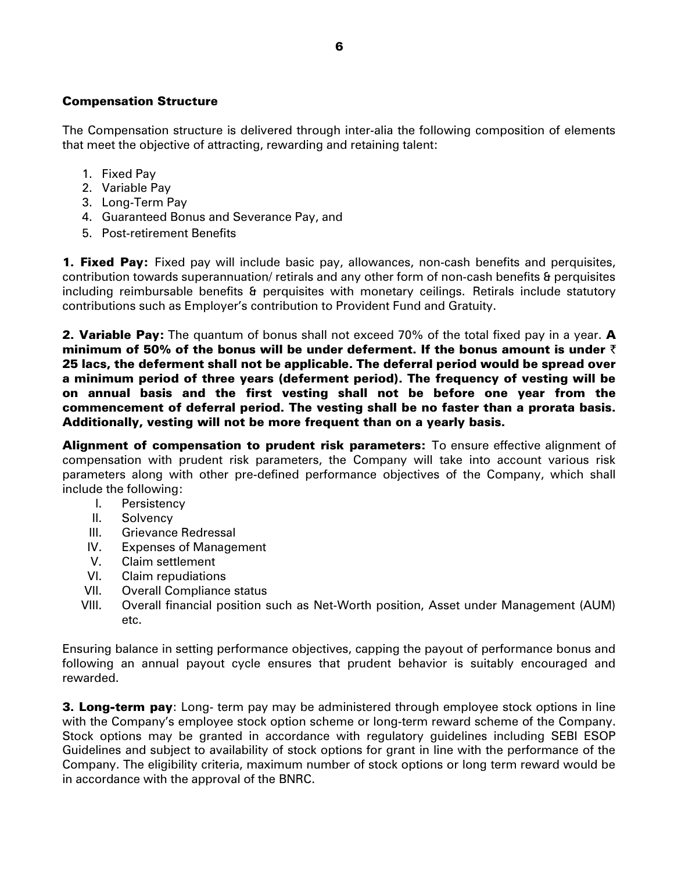#### Compensation Structure

The Compensation structure is delivered through inter-alia the following composition of elements that meet the objective of attracting, rewarding and retaining talent:

- 1. Fixed Pay
- 2. Variable Pay
- 3. Long-Term Pay
- 4. Guaranteed Bonus and Severance Pay, and
- 5. Post-retirement Benefits

**1. Fixed Pay:** Fixed pay will include basic pay, allowances, non-cash benefits and perquisites, contribution towards superannuation/ retirals and any other form of non-cash benefits & perquisites including reimbursable benefits & perquisites with monetary ceilings. Retirals include statutory contributions such as Employer's contribution to Provident Fund and Gratuity.

**2. Variable Pay:** The quantum of bonus shall not exceed 70% of the total fixed pay in a year. **A** minimum of 50% of the bonus will be under deferment. If the bonus amount is under  $\bar{\bm{\mathsf{\tau}}}$ 25 lacs, the deferment shall not be applicable. The deferral period would be spread over a minimum period of three years (deferment period). The frequency of vesting will be on annual basis and the first vesting shall not be before one year from the commencement of deferral period. The vesting shall be no faster than a prorata basis. Additionally, vesting will not be more frequent than on a yearly basis.

Alignment of compensation to prudent risk parameters: To ensure effective alignment of compensation with prudent risk parameters, the Company will take into account various risk parameters along with other pre-defined performance objectives of the Company, which shall include the following:

- I. Persistency
- II. Solvency
- III. Grievance Redressal
- IV. Expenses of Management
- V. Claim settlement
- VI. Claim repudiations
- VII. Overall Compliance status
- VIII. Overall financial position such as Net-Worth position, Asset under Management (AUM) etc.

Ensuring balance in setting performance objectives, capping the payout of performance bonus and following an annual payout cycle ensures that prudent behavior is suitably encouraged and rewarded.

**3. Long-term pay**: Long- term pay may be administered through employee stock options in line with the Company's employee stock option scheme or long-term reward scheme of the Company. Stock options may be granted in accordance with regulatory guidelines including SEBI ESOP Guidelines and subject to availability of stock options for grant in line with the performance of the Company. The eligibility criteria, maximum number of stock options or long term reward would be in accordance with the approval of the BNRC.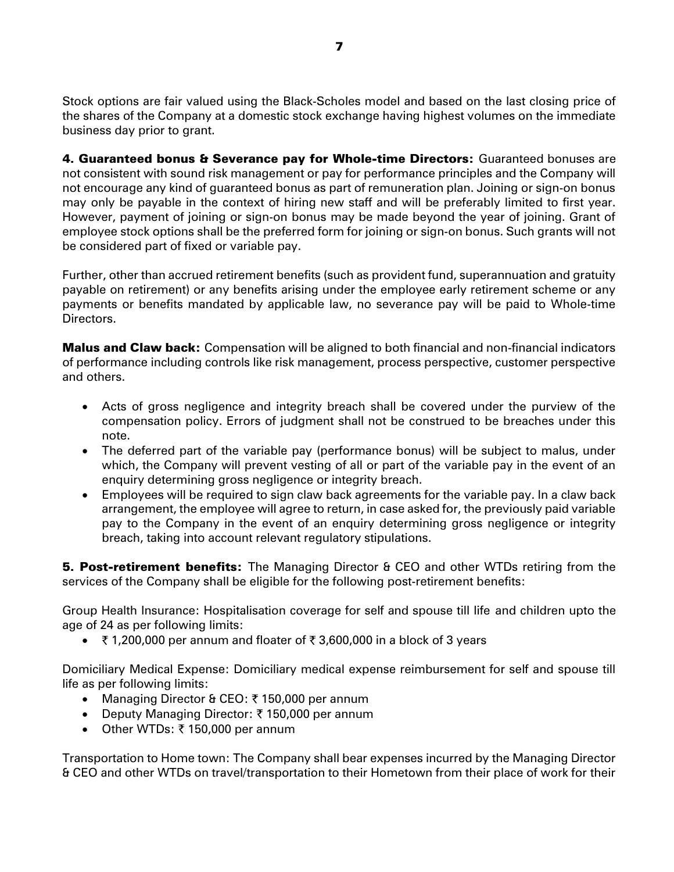Stock options are fair valued using the Black-Scholes model and based on the last closing price of the shares of the Company at a domestic stock exchange having highest volumes on the immediate business day prior to grant.

4. Guaranteed bonus & Severance pay for Whole-time Directors: Guaranteed bonuses are not consistent with sound risk management or pay for performance principles and the Company will not encourage any kind of guaranteed bonus as part of remuneration plan. Joining or sign-on bonus may only be payable in the context of hiring new staff and will be preferably limited to first year. However, payment of joining or sign-on bonus may be made beyond the year of joining. Grant of employee stock options shall be the preferred form for joining or sign-on bonus. Such grants will not be considered part of fixed or variable pay.

Further, other than accrued retirement benefits (such as provident fund, superannuation and gratuity payable on retirement) or any benefits arising under the employee early retirement scheme or any payments or benefits mandated by applicable law, no severance pay will be paid to Whole-time Directors.

**Malus and Claw back:** Compensation will be aligned to both financial and non-financial indicators of performance including controls like risk management, process perspective, customer perspective and others.

- Acts of gross negligence and integrity breach shall be covered under the purview of the compensation policy. Errors of judgment shall not be construed to be breaches under this note.
- The deferred part of the variable pay (performance bonus) will be subject to malus, under which, the Company will prevent vesting of all or part of the variable pay in the event of an enquiry determining gross negligence or integrity breach.
- Employees will be required to sign claw back agreements for the variable pay. In a claw back arrangement, the employee will agree to return, in case asked for, the previously paid variable pay to the Company in the event of an enquiry determining gross negligence or integrity breach, taking into account relevant regulatory stipulations.

**5. Post-retirement benefits:** The Managing Director & CEO and other WTDs retiring from the services of the Company shall be eligible for the following post-retirement benefits:

Group Health Insurance: Hospitalisation coverage for self and spouse till life and children upto the age of 24 as per following limits:

• ₹1,200,000 per annum and floater of ₹3,600,000 in a block of 3 years

Domiciliary Medical Expense: Domiciliary medical expense reimbursement for self and spouse till life as per following limits:

- Managing Director & CEO:  $\bar{\tau}$  150,000 per annum
- Deputy Managing Director:  $\bar{\tau}$  150,000 per annum
- Other WTDs:  $\bar{x}$  150,000 per annum

Transportation to Home town: The Company shall bear expenses incurred by the Managing Director & CEO and other WTDs on travel/transportation to their Hometown from their place of work for their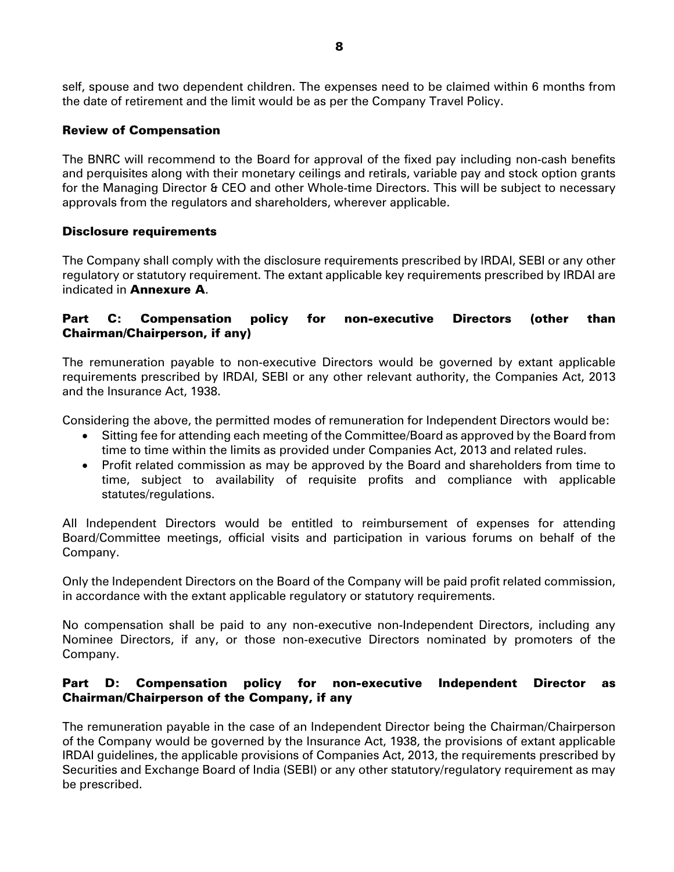self, spouse and two dependent children. The expenses need to be claimed within 6 months from the date of retirement and the limit would be as per the Company Travel Policy.

## Review of Compensation

The BNRC will recommend to the Board for approval of the fixed pay including non-cash benefits and perquisites along with their monetary ceilings and retirals, variable pay and stock option grants for the Managing Director & CEO and other Whole-time Directors. This will be subject to necessary approvals from the regulators and shareholders, wherever applicable.

## Disclosure requirements

The Company shall comply with the disclosure requirements prescribed by IRDAI, SEBI or any other regulatory or statutory requirement. The extant applicable key requirements prescribed by IRDAI are indicated in Annexure A.

# Part C: Compensation policy for non-executive Directors (other than Chairman/Chairperson, if any)

The remuneration payable to non-executive Directors would be governed by extant applicable requirements prescribed by IRDAI, SEBI or any other relevant authority, the Companies Act, 2013 and the Insurance Act, 1938.

Considering the above, the permitted modes of remuneration for Independent Directors would be:

- Sitting fee for attending each meeting of the Committee/Board as approved by the Board from time to time within the limits as provided under Companies Act, 2013 and related rules.
- Profit related commission as may be approved by the Board and shareholders from time to time, subject to availability of requisite profits and compliance with applicable statutes/regulations.

All Independent Directors would be entitled to reimbursement of expenses for attending Board/Committee meetings, official visits and participation in various forums on behalf of the Company.

Only the Independent Directors on the Board of the Company will be paid profit related commission, in accordance with the extant applicable regulatory or statutory requirements.

No compensation shall be paid to any non-executive non-Independent Directors, including any Nominee Directors, if any, or those non-executive Directors nominated by promoters of the Company.

## Part D: Compensation policy for non-executive Independent Director as Chairman/Chairperson of the Company, if any

The remuneration payable in the case of an Independent Director being the Chairman/Chairperson of the Company would be governed by the Insurance Act, 1938, the provisions of extant applicable IRDAI guidelines, the applicable provisions of Companies Act, 2013, the requirements prescribed by Securities and Exchange Board of India (SEBI) or any other statutory/regulatory requirement as may be prescribed.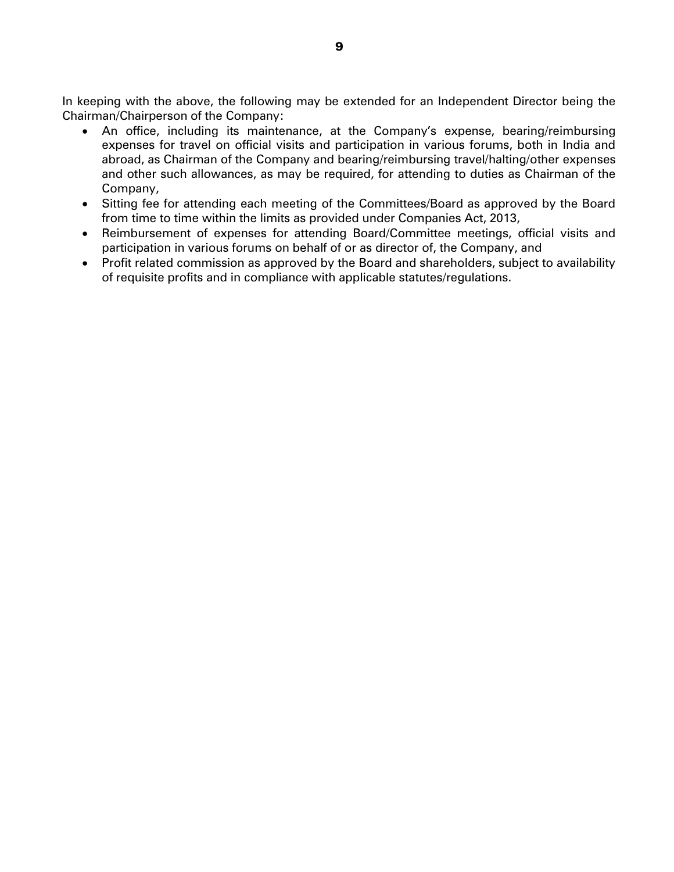In keeping with the above, the following may be extended for an Independent Director being the Chairman/Chairperson of the Company:

- An office, including its maintenance, at the Company's expense, bearing/reimbursing expenses for travel on official visits and participation in various forums, both in India and abroad, as Chairman of the Company and bearing/reimbursing travel/halting/other expenses and other such allowances, as may be required, for attending to duties as Chairman of the Company,
- Sitting fee for attending each meeting of the Committees/Board as approved by the Board from time to time within the limits as provided under Companies Act, 2013,
- Reimbursement of expenses for attending Board/Committee meetings, official visits and participation in various forums on behalf of or as director of, the Company, and
- Profit related commission as approved by the Board and shareholders, subject to availability of requisite profits and in compliance with applicable statutes/regulations.